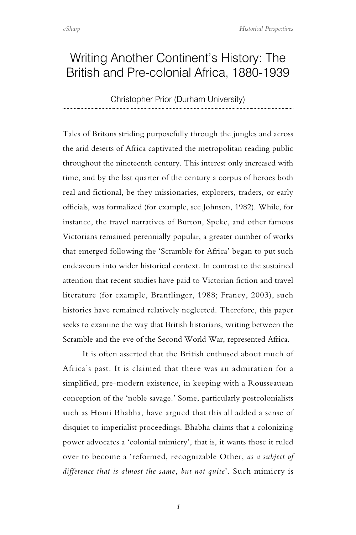## Writing Another Continent's History: The British and Pre-colonial Africa, 1880-1939

## Christopher Prior (Durham University)

Tales of Britons striding purposefully through the jungles and across the arid deserts of Africa captivated the metropolitan reading public throughout the nineteenth century. This interest only increased with time, and by the last quarter of the century a corpus of heroes both real and fictional, be they missionaries, explorers, traders, or early officials, was formalized (for example, see Johnson, 1982). While, for instance, the travel narratives of Burton, Speke, and other famous Victorians remained perennially popular, a greater number of works that emerged following the 'Scramble for Africa' began to put such endeavours into wider historical context. In contrast to the sustained attention that recent studies have paid to Victorian fiction and travel literature (for example, Brantlinger, 1988; Franey, 2003), such histories have remained relatively neglected. Therefore, this paper seeks to examine the way that British historians, writing between the Scramble and the eve of the Second World War, represented Africa.

It is often asserted that the British enthused about much of Africa's past. It is claimed that there was an admiration for a simplified, pre-modern existence, in keeping with a Rousseauean conception of the 'noble savage.' Some, particularly postcolonialists such as Homi Bhabha, have argued that this all added a sense of disquiet to imperialist proceedings. Bhabha claims that a colonizing power advocates a 'colonial mimicry', that is, it wants those it ruled over to become a 'reformed, recognizable Other, *as a subject of difference that is almost the same, but not quite*'. Such mimicry is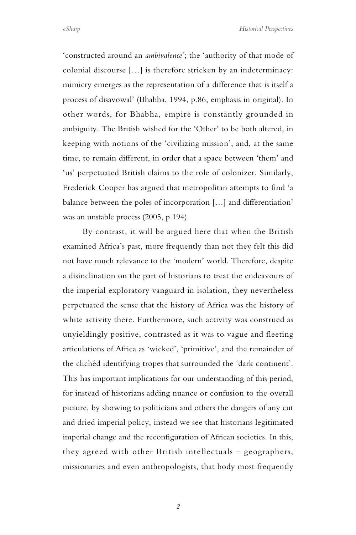'constructed around an *ambivalence*'; the 'authority of that mode of colonial discourse […] is therefore stricken by an indeterminacy: mimicry emerges as the representation of a difference that is itself a process of disavowal' (Bhabha, 1994, p.86, emphasis in original). In other words, for Bhabha, empire is constantly grounded in ambiguity. The British wished for the 'Other' to be both altered, in keeping with notions of the 'civilizing mission', and, at the same time, to remain different, in order that a space between 'them' and 'us' perpetuated British claims to the role of colonizer. Similarly, Frederick Cooper has argued that metropolitan attempts to find 'a balance between the poles of incorporation […] and differentiation' was an unstable process (2005, p.194).

By contrast, it will be argued here that when the British examined Africa's past, more frequently than not they felt this did not have much relevance to the 'modern' world. Therefore, despite a disinclination on the part of historians to treat the endeavours of the imperial exploratory vanguard in isolation, they nevertheless perpetuated the sense that the history of Africa was the history of white activity there. Furthermore, such activity was construed as unyieldingly positive, contrasted as it was to vague and fleeting articulations of Africa as 'wicked', 'primitive', and the remainder of the clichéd identifying tropes that surrounded the 'dark continent'. This has important implications for our understanding of this period, for instead of historians adding nuance or confusion to the overall picture, by showing to politicians and others the dangers of any cut and dried imperial policy, instead we see that historians legitimated imperial change and the reconfiguration of African societies. In this, they agreed with other British intellectuals – geographers, missionaries and even anthropologists, that body most frequently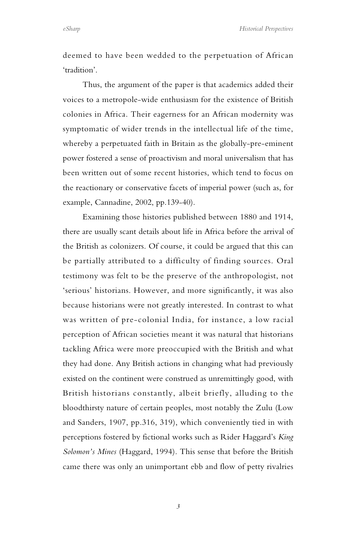deemed to have been wedded to the perpetuation of African 'tradition'.

Thus, the argument of the paper is that academics added their voices to a metropole-wide enthusiasm for the existence of British colonies in Africa. Their eagerness for an African modernity was symptomatic of wider trends in the intellectual life of the time, whereby a perpetuated faith in Britain as the globally-pre-eminent power fostered a sense of proactivism and moral universalism that has been written out of some recent histories, which tend to focus on the reactionary or conservative facets of imperial power (such as, for example, Cannadine, 2002, pp.139-40).

Examining those histories published between 1880 and 1914, there are usually scant details about life in Africa before the arrival of the British as colonizers. Of course, it could be argued that this can be partially attributed to a difficulty of finding sources. Oral testimony was felt to be the preserve of the anthropologist, not 'serious' historians. However, and more significantly, it was also because historians were not greatly interested. In contrast to what was written of pre-colonial India, for instance, a low racial perception of African societies meant it was natural that historians tackling Africa were more preoccupied with the British and what they had done. Any British actions in changing what had previously existed on the continent were construed as unremittingly good, with British historians constantly, albeit briefly, alluding to the bloodthirsty nature of certain peoples, most notably the Zulu (Low and Sanders, 1907, pp.316, 319), which conveniently tied in with perceptions fostered by fictional works such as Rider Haggard's *King Solomon's Mines* (Haggard, 1994). This sense that before the British came there was only an unimportant ebb and flow of petty rivalries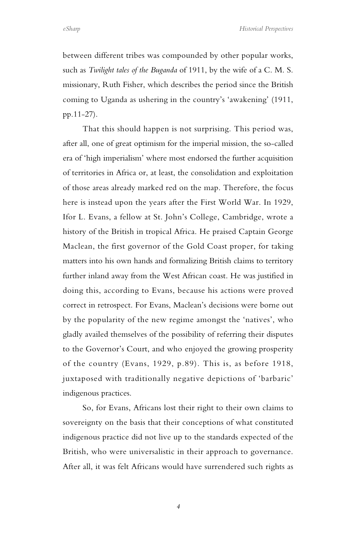*eSharp Historical Perspectives*

between different tribes was compounded by other popular works, such as *Twilight tales of the Buganda* of 1911, by the wife of a C. M. S. missionary, Ruth Fisher, which describes the period since the British coming to Uganda as ushering in the country's 'awakening' (1911, pp.11-27).

That this should happen is not surprising. This period was, after all, one of great optimism for the imperial mission, the so-called era of 'high imperialism' where most endorsed the further acquisition of territories in Africa or, at least, the consolidation and exploitation of those areas already marked red on the map. Therefore, the focus here is instead upon the years after the First World War. In 1929, Ifor L. Evans, a fellow at St. John's College, Cambridge, wrote a history of the British in tropical Africa. He praised Captain George Maclean, the first governor of the Gold Coast proper, for taking matters into his own hands and formalizing British claims to territory further inland away from the West African coast. He was justified in doing this, according to Evans, because his actions were proved correct in retrospect. For Evans, Maclean's decisions were borne out by the popularity of the new regime amongst the 'natives', who gladly availed themselves of the possibility of referring their disputes to the Governor's Court, and who enjoyed the growing prosperity of the country (Evans, 1929, p.89). This is, as before 1918, juxtaposed with traditionally negative depictions of 'barbaric' indigenous practices.

So, for Evans, Africans lost their right to their own claims to sovereignty on the basis that their conceptions of what constituted indigenous practice did not live up to the standards expected of the British, who were universalistic in their approach to governance. After all, it was felt Africans would have surrendered such rights as

*4*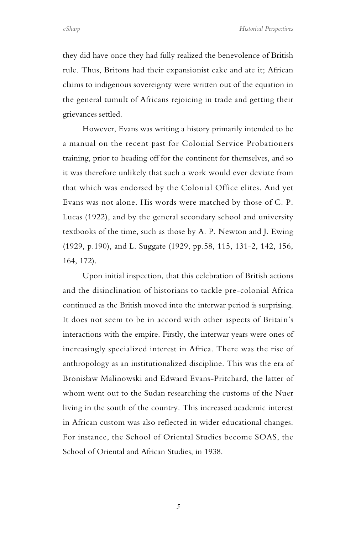they did have once they had fully realized the benevolence of British rule. Thus, Britons had their expansionist cake and ate it; African claims to indigenous sovereignty were written out of the equation in the general tumult of Africans rejoicing in trade and getting their grievances settled.

However, Evans was writing a history primarily intended to be a manual on the recent past for Colonial Service Probationers training, prior to heading off for the continent for themselves, and so it was therefore unlikely that such a work would ever deviate from that which was endorsed by the Colonial Office elites. And yet Evans was not alone. His words were matched by those of C. P. Lucas (1922), and by the general secondary school and university textbooks of the time, such as those by A. P. Newton and J. Ewing (1929, p.190), and L. Suggate (1929, pp.58, 115, 131-2, 142, 156, 164, 172).

Upon initial inspection, that this celebration of British actions and the disinclination of historians to tackle pre-colonial Africa continued as the British moved into the interwar period is surprising. It does not seem to be in accord with other aspects of Britain's interactions with the empire. Firstly, the interwar years were ones of increasingly specialized interest in Africa. There was the rise of anthropology as an institutionalized discipline. This was the era of Bronisław Malinowski and Edward Evans-Pritchard, the latter of whom went out to the Sudan researching the customs of the Nuer living in the south of the country. This increased academic interest in African custom was also reflected in wider educational changes. For instance, the School of Oriental Studies become SOAS, the School of Oriental and African Studies, in 1938.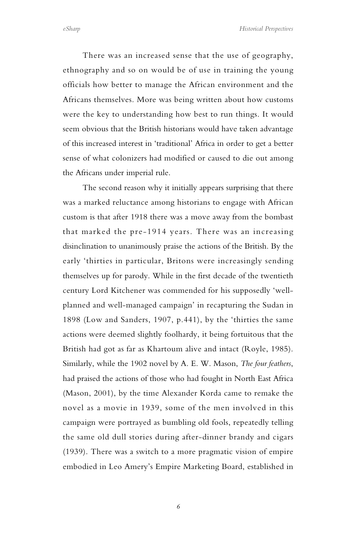There was an increased sense that the use of geography, ethnography and so on would be of use in training the young officials how better to manage the African environment and the Africans themselves. More was being written about how customs were the key to understanding how best to run things. It would seem obvious that the British historians would have taken advantage of this increased interest in 'traditional' Africa in order to get a better sense of what colonizers had modified or caused to die out among the Africans under imperial rule.

The second reason why it initially appears surprising that there was a marked reluctance among historians to engage with African custom is that after 1918 there was a move away from the bombast that marked the pre-1914 years. There was an increasing disinclination to unanimously praise the actions of the British. By the early 'thirties in particular, Britons were increasingly sending themselves up for parody. While in the first decade of the twentieth century Lord Kitchener was commended for his supposedly 'wellplanned and well-managed campaign' in recapturing the Sudan in 1898 (Low and Sanders, 1907, p.441), by the 'thirties the same actions were deemed slightly foolhardy, it being fortuitous that the British had got as far as Khartoum alive and intact (Royle, 1985). Similarly, while the 1902 novel by A. E. W. Mason, *The four feathers*, had praised the actions of those who had fought in North East Africa (Mason, 2001), by the time Alexander Korda came to remake the novel as a movie in 1939, some of the men involved in this campaign were portrayed as bumbling old fools, repeatedly telling the same old dull stories during after-dinner brandy and cigars (1939). There was a switch to a more pragmatic vision of empire embodied in Leo Amery's Empire Marketing Board, established in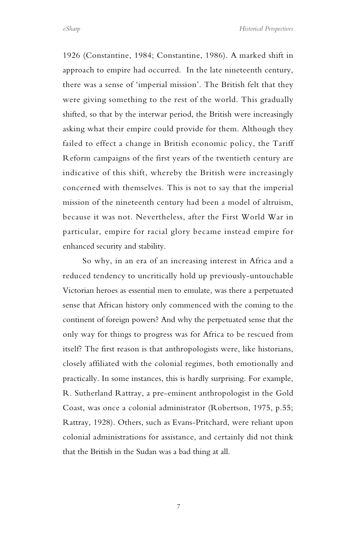1926 (Constantine, 1984; Constantine, 1986). A marked shift in approach to empire had occurred. In the late nineteenth century, there was a sense of 'imperial mission'. The British felt that they were giving something to the rest of the world. This gradually shifted, so that by the interwar period, the British were increasingly asking what their empire could provide for them. Although they failed to effect a change in British economic policy, the Tariff Reform campaigns of the first years of the twentieth century are indicative of this shift, whereby the British were increasingly concerned with themselves. This is not to say that the imperial mission of the nineteenth century had been a model of altruism, because it was not. Nevertheless, after the First World War in particular, empire for racial glory became instead empire for enhanced security and stability.

So why, in an era of an increasing interest in Africa and a reduced tendency to uncritically hold up previously-untouchable Victorian heroes as essential men to emulate, was there a perpetuated sense that African history only commenced with the coming to the continent of foreign powers? And why the perpetuated sense that the only way for things to progress was for Africa to be rescued from itself? The first reason is that anthropologists were, like historians, closely affiliated with the colonial regimes, both emotionally and practically. In some instances, this is hardly surprising. For example, R. Sutherland Rattray, a pre-eminent anthropologist in the Gold Coast, was once a colonial administrator (Robertson, 1975, p.55; Rattray, 1928). Others, such as Evans-Pritchard, were reliant upon colonial administrations for assistance, and certainly did not think that the British in the Sudan was a bad thing at all.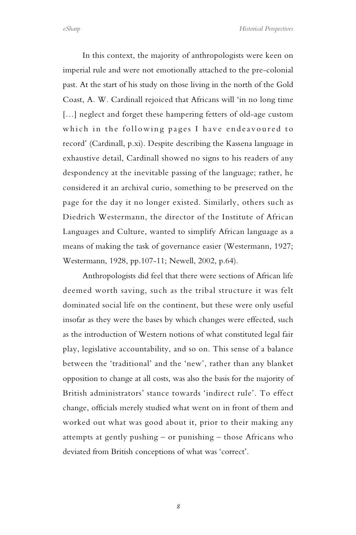In this context, the majority of anthropologists were keen on imperial rule and were not emotionally attached to the pre-colonial past. At the start of his study on those living in the north of the Gold Coast, A. W. Cardinall rejoiced that Africans will 'in no long time [...] neglect and forget these hampering fetters of old-age custom which in the following pages I have endeavoured to record' (Cardinall, p.xi). Despite describing the Kassena language in exhaustive detail, Cardinall showed no signs to his readers of any despondency at the inevitable passing of the language; rather, he considered it an archival curio, something to be preserved on the page for the day it no longer existed. Similarly, others such as Diedrich Westermann, the director of the Institute of African Languages and Culture, wanted to simplify African language as a means of making the task of governance easier (Westermann, 1927; Westermann, 1928, pp.107-11; Newell, 2002, p.64).

Anthropologists did feel that there were sections of African life deemed worth saving, such as the tribal structure it was felt dominated social life on the continent, but these were only useful insofar as they were the bases by which changes were effected, such as the introduction of Western notions of what constituted legal fair play, legislative accountability, and so on. This sense of a balance between the 'traditional' and the 'new', rather than any blanket opposition to change at all costs, was also the basis for the majority of British administrators' stance towards 'indirect rule'. To effect change, officials merely studied what went on in front of them and worked out what was good about it, prior to their making any attempts at gently pushing – or punishing – those Africans who deviated from British conceptions of what was 'correct'.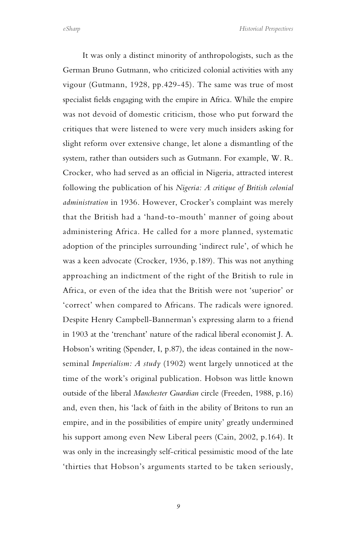It was only a distinct minority of anthropologists, such as the German Bruno Gutmann, who criticized colonial activities with any vigour (Gutmann, 1928, pp.429-45). The same was true of most specialist fields engaging with the empire in Africa. While the empire was not devoid of domestic criticism, those who put forward the critiques that were listened to were very much insiders asking for slight reform over extensive change, let alone a dismantling of the system, rather than outsiders such as Gutmann. For example, W. R. Crocker, who had served as an official in Nigeria, attracted interest following the publication of his *Nigeria: A critique of British colonial administration* in 1936. However, Crocker's complaint was merely that the British had a 'hand-to-mouth' manner of going about administering Africa. He called for a more planned, systematic adoption of the principles surrounding 'indirect rule', of which he was a keen advocate (Crocker, 1936, p.189). This was not anything approaching an indictment of the right of the British to rule in Africa, or even of the idea that the British were not 'superior' or 'correct' when compared to Africans. The radicals were ignored. Despite Henry Campbell-Bannerman's expressing alarm to a friend in 1903 at the 'trenchant' nature of the radical liberal economist J. A. Hobson's writing (Spender, I, p.87), the ideas contained in the nowseminal *Imperialism: A study* (1902) went largely unnoticed at the time of the work's original publication. Hobson was little known outside of the liberal *Manchester Guardian* circle (Freeden, 1988, p.16) and, even then, his 'lack of faith in the ability of Britons to run an empire, and in the possibilities of empire unity' greatly undermined his support among even New Liberal peers (Cain, 2002, p.164). It was only in the increasingly self-critical pessimistic mood of the late 'thirties that Hobson's arguments started to be taken seriously,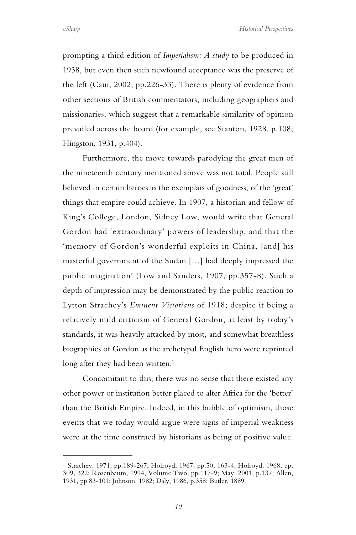*eSharp Historical Perspectives*

prompting a third edition of *Imperialism: A study* to be produced in 1938, but even then such newfound acceptance was the preserve of the left (Cain, 2002, pp.226-33). There is plenty of evidence from other sections of British commentators, including geographers and missionaries, which suggest that a remarkable similarity of opinion prevailed across the board (for example, see Stanton, 1928, p.108; Hingston, 1931, p.404).

Furthermore, the move towards parodying the great men of the nineteenth century mentioned above was not total. People still believed in certain heroes as the exemplars of goodness, of the 'great' things that empire could achieve. In 1907, a historian and fellow of King's College, London, Sidney Low, would write that General Gordon had 'extraordinary' powers of leadership, and that the 'memory of Gordon's wonderful exploits in China, [and] his masterful government of the Sudan […] had deeply impressed the public imagination' (Low and Sanders, 1907, pp.357-8). Such a depth of impression may be demonstrated by the public reaction to Lytton Strachey's *Eminent Victorians* of 1918; despite it being a relatively mild criticism of General Gordon, at least by today's standards, it was heavily attacked by most, and somewhat breathless biographies of Gordon as the archetypal English hero were reprinted long after they had been written.<sup>1</sup>

Concomitant to this, there was no sense that there existed any other power or institution better placed to alter Africa for the 'better' than the British Empire. Indeed, in this bubble of optimism, those events that we today would argue were signs of imperial weakness were at the time construed by historians as being of positive value.

<span id="page-9-0"></span><sup>1</sup> Strachey, 1971, pp.189-267; Holroyd, 1967, pp.50, 163-4; Holroyd, 1968, pp. 309, 322; Rosenbaum, 1994, Volume Two, pp.117-9; May, 2001, p.137; Allen, 1931, pp.83-101; Johnson, 1982; Daly, 1986, p.358; Butler, 1889.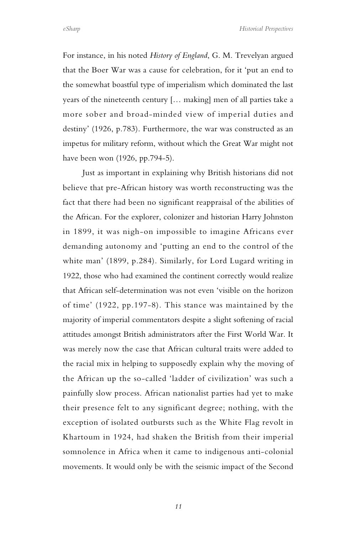*eSharp Historical Perspectives*

For instance, in his noted *History of England*, G. M. Trevelyan argued that the Boer War was a cause for celebration, for it 'put an end to the somewhat boastful type of imperialism which dominated the last years of the nineteenth century [… making] men of all parties take a more sober and broad-minded view of imperial duties and destiny' (1926, p.783). Furthermore, the war was constructed as an impetus for military reform, without which the Great War might not have been won (1926, pp.794-5).

Just as important in explaining why British historians did not believe that pre-African history was worth reconstructing was the fact that there had been no significant reappraisal of the abilities of the African. For the explorer, colonizer and historian Harry Johnston in 1899, it was nigh-on impossible to imagine Africans ever demanding autonomy and 'putting an end to the control of the white man' (1899, p.284). Similarly, for Lord Lugard writing in 1922, those who had examined the continent correctly would realize that African self-determination was not even 'visible on the horizon of time' (1922, pp.197-8). This stance was maintained by the majority of imperial commentators despite a slight softening of racial attitudes amongst British administrators after the First World War. It was merely now the case that African cultural traits were added to the racial mix in helping to supposedly explain why the moving of the African up the so-called 'ladder of civilization' was such a painfully slow process. African nationalist parties had yet to make their presence felt to any significant degree; nothing, with the exception of isolated outbursts such as the White Flag revolt in Khartoum in 1924, had shaken the British from their imperial somnolence in Africa when it came to indigenous anti-colonial movements. It would only be with the seismic impact of the Second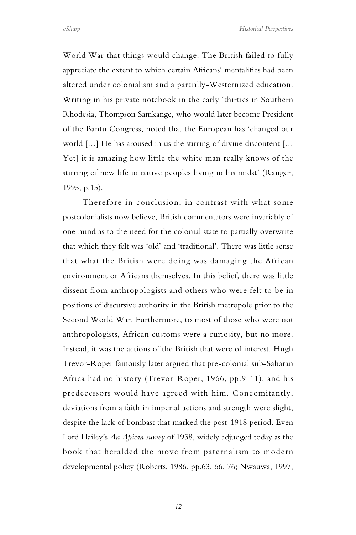World War that things would change. The British failed to fully appreciate the extent to which certain Africans' mentalities had been altered under colonialism and a partially-Westernized education. Writing in his private notebook in the early 'thirties in Southern Rhodesia, Thompson Samkange, who would later become President of the Bantu Congress, noted that the European has 'changed our world […] He has aroused in us the stirring of divine discontent [… Yet] it is amazing how little the white man really knows of the stirring of new life in native peoples living in his midst' (Ranger, 1995, p.15).

Therefore in conclusion, in contrast with what some postcolonialists now believe, British commentators were invariably of one mind as to the need for the colonial state to partially overwrite that which they felt was 'old' and 'traditional'. There was little sense that what the British were doing was damaging the African environment or Africans themselves. In this belief, there was little dissent from anthropologists and others who were felt to be in positions of discursive authority in the British metropole prior to the Second World War. Furthermore, to most of those who were not anthropologists, African customs were a curiosity, but no more. Instead, it was the actions of the British that were of interest. Hugh Trevor-Roper famously later argued that pre-colonial sub-Saharan Africa had no history (Trevor-Roper, 1966, pp.9-11), and his predecessors would have agreed with him. Concomitantly, deviations from a faith in imperial actions and strength were slight, despite the lack of bombast that marked the post-1918 period. Even Lord Hailey's *An African survey* of 1938, widely adjudged today as the book that heralded the move from paternalism to modern developmental policy (Roberts, 1986, pp.63, 66, 76; Nwauwa, 1997,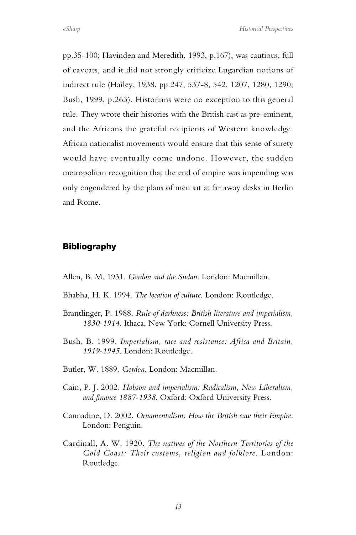pp.35-100; Havinden and Meredith, 1993, p.167), was cautious, full of caveats, and it did not strongly criticize Lugardian notions of indirect rule (Hailey, 1938, pp.247, 537-8, 542, 1207, 1280, 1290; Bush, 1999, p.263). Historians were no exception to this general rule. They wrote their histories with the British cast as pre-eminent, and the Africans the grateful recipients of Western knowledge. African nationalist movements would ensure that this sense of surety would have eventually come undone. However, the sudden metropolitan recognition that the end of empire was impending was only engendered by the plans of men sat at far away desks in Berlin and Rome.

## **Bibliography**

- Allen, B. M. 1931. *Gordon and the Sudan*. London: Macmillan.
- Bhabha, H. K. 1994. *The location of culture*. London: Routledge.
- Brantlinger, P. 1988. *Rule of darkness: British literature and imperialism, 1830-1914*. Ithaca, New York: Cornell University Press.
- Bush, B. 1999. *Imperialism, race and resistance: Africa and Britain, 1919-1945*. London: Routledge.
- Butler, W. 1889. *Gordon*. London: Macmillan.
- Cain, P. J. 2002. *Hobson and imperialism: Radicalism, New Liberalism, and finance 1887-1938*. Oxford: Oxford University Press.
- Cannadine, D. 2002. *Ornamentalism: How the British saw their Empire*. London: Penguin.
- Cardinall, A. W. 1920. *The natives of the Northern Territories of the Gold Coast: Their customs, religion and folklore*. London: Routledge.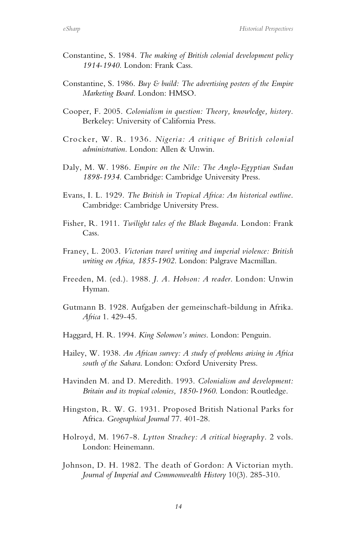- Constantine, S. 1984. *The making of British colonial development policy 1914-1940*. London: Frank Cass.
- Constantine, S. 1986. *Buy & build: The advertising posters of the Empire Marketing Board*. London: HMSO.
- Cooper, F. 2005. *Colonialism in question: Theory, knowledge, history*. Berkeley: University of California Press.
- Crocker, W. R. 1936. *Nigeria: A critique of British colonial administration*. London: Allen & Unwin.
- Daly, M. W. 1986. *Empire on the Nile: The Anglo-Egyptian Sudan 1898-1934*. Cambridge: Cambridge University Press.
- Evans, I. L. 1929. *The British in Tropical Africa: An historical outline*. Cambridge: Cambridge University Press.
- Fisher, R. 1911. *Twilight tales of the Black Buganda*. London: Frank Cass.
- Franey, L. 2003. *Victorian travel writing and imperial violence: British writing on Africa, 1855-1902*. London: Palgrave Macmillan.
- Freeden, M. (ed.). 1988. *J. A. Hobson: A reader*. London: Unwin Hyman.
- Gutmann B. 1928. Aufgaben der gemeinschaft-bildung in Afrika. *Africa* 1. 429-45.
- Haggard, H. R. 1994. *King Solomon's mines*. London: Penguin.
- Hailey, W. 1938. *An African survey: A study of problems arising in Africa south of the Sahara*. London: Oxford University Press.
- Havinden M. and D. Meredith. 1993. *Colonialism and development: Britain and its tropical colonies, 1850-1960*. London: Routledge.
- Hingston, R. W. G. 1931. Proposed British National Parks for Africa. *Geographical Journal* 77. 401-28.
- Holroyd, M. 1967-8. *Lytton Strachey: A critical biography*. 2 vols. London: Heinemann.
- Johnson, D. H. 1982. The death of Gordon: A Victorian myth. *Journal of Imperial and Commonwealth History* 10(3). 285-310.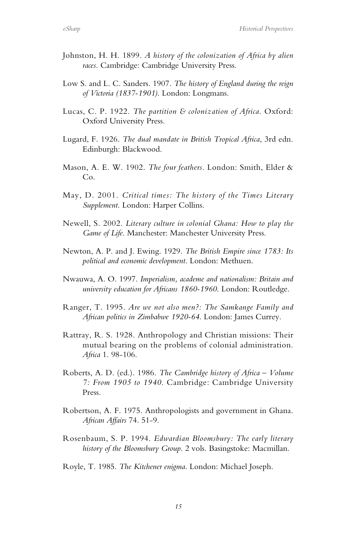- Johnston, H. H. 1899. *A history of the colonization of Africa by alien races*. Cambridge: Cambridge University Press.
- Low S. and L. C. Sanders. 1907. *The history of England during the reign of Victoria (1837-1901)*. London: Longmans.
- Lucas, C. P. 1922. *The partition & colonization of Africa*. Oxford: Oxford University Press.
- Lugard, F. 1926. *The dual mandate in British Tropical Africa*, 3rd edn. Edinburgh: Blackwood.
- Mason, A. E. W. 1902. *The four feathers*. London: Smith, Elder & Co.
- May, D. 2001. *Critical times: The history of the Times Literary Supplement*. London: Harper Collins.
- Newell, S. 2002. *Literary culture in colonial Ghana: How to play the Game of Life*. Manchester: Manchester University Press.
- Newton, A. P. and J. Ewing. 1929. *The British Empire since 1783: Its political and economic development*. London: Methuen.
- Nwauwa, A. O. 1997. *Imperialism, academe and nationalism: Britain and university education for Africans 1860-1960*. London: Routledge.
- Ranger, T. 1995. *Are we not also men?: The Samkange Family and African politics in Zimbabwe 1920-64*. London: James Currey.
- Rattray, R. S. 1928. Anthropology and Christian missions: Their mutual bearing on the problems of colonial administration. *Africa* 1. 98-106.
- Roberts, A. D. (ed.). 1986. *The Cambridge history of Africa – Volume 7: From 1905 to 1940*. Cambridge: Cambridge University Press.
- Robertson, A. F. 1975. Anthropologists and government in Ghana. *African Affairs* 74. 51-9.
- Rosenbaum, S. P. 1994. *Edwardian Bloomsbury: The early literary history of the Bloomsbury Group*. 2 vols. Basingstoke: Macmillan.
- Royle, T. 1985. *The Kitchener enigma*. London: Michael Joseph.